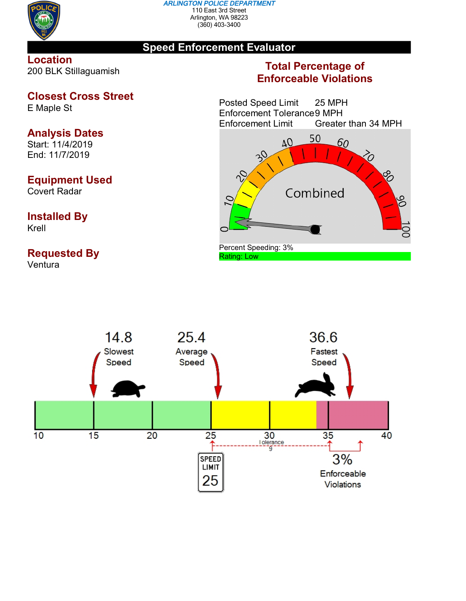

#### *ARLINGTON POLICE DEPARTMENT* 110 East 3rd Street Arlington, WA 98223 (360) 403-3400

### **Speed Enforcement Evaluator**

#### **Location** 200 BLK Stillaguamish

# **Closest Cross Street**

E Maple St

# **Analysis Dates**

Start: 11/4/2019 End: 11/7/2019

### **Equipment Used**

Covert Radar

#### **Installed By** Krell

### **Requested By**

Ventura

## **Total Percentage of Enforceable Violations**

Posted Speed Limit 25 MPH Enforcement Tolerance9 MPH Enforcement Limit Greater than 34 MPH